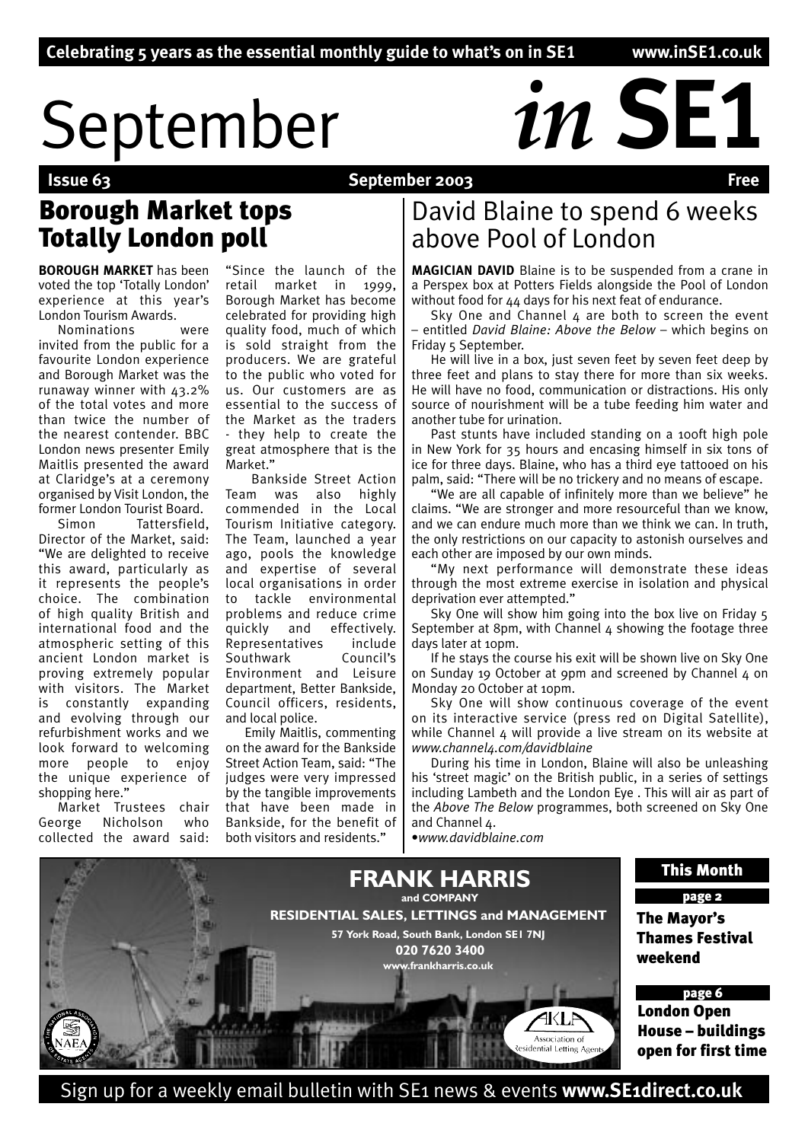# September *in* SE1

# September 2003

# Borough Market tops Totally London poll

**BOROUGH MARKET** has been voted the top 'Totally London' experience at this year's London Tourism Awards.

Nominations were invited from the public for a favourite London experience and Borough Market was the runaway winner with 43.2% of the total votes and more than twice the number of the nearest contender. BBC London news presenter Emily Maitlis presented the award at Claridge's at a ceremony organised by Visit London, the former London Tourist Board.

Simon Tattersfield, Director of the Market, said: "We are delighted to receive this award, particularly as it represents the people's choice. The combination of high quality British and international food and the atmospheric setting of this ancient London market is proving extremely popular with visitors. The Market is constantly expanding and evolving through our refurbishment works and we look forward to welcoming more people to enjoy the unique experience of shopping here."

Market Trustees chair George Nicholson collected the award said:

"Since the launch of the retail market in 1999, Borough Market has become celebrated for providing high quality food, much of which is sold straight from the producers. We are grateful to the public who voted for us. Our customers are as essential to the success of the Market as the traders - they help to create the great atmosphere that is the Market."

 Bankside Street Action Team was also highly commended in the Local Tourism Initiative category. The Team, launched a year ago, pools the knowledge and expertise of several local organisations in order to tackle environmental problems and reduce crime quickly and effectively. Representatives include Southwark Council's Environment and Leisure department, Better Bankside, Council officers, residents, and local police.

Emily Maitlis, commenting on the award for the Bankside Street Action Team, said: "The judges were very impressed by the tangible improvements that have been made in Bankside, for the benefit of both visitors and residents."

# David Blaine to spend 6 weeks above Pool of London

**MAGICIAN DAVID** Blaine is to be suspended from a crane in a Perspex box at Potters Fields alongside the Pool of London without food for 44 days for his next feat of endurance.

Sky One and Channel 4 are both to screen the event – entitled *David Blaine: Above the Below* – which begins on Friday 5 September.

He will live in a box, just seven feet by seven feet deep by three feet and plans to stay there for more than six weeks. He will have no food, communication or distractions. His only source of nourishment will be a tube feeding him water and another tube for urination.

Past stunts have included standing on a 100ft high pole in New York for 35 hours and encasing himself in six tons of ice for three days. Blaine, who has a third eye tattooed on his palm, said: "There will be no trickery and no means of escape.

"We are all capable of infinitely more than we believe" he claims. "We are stronger and more resourceful than we know, and we can endure much more than we think we can. In truth, the only restrictions on our capacity to astonish ourselves and each other are imposed by our own minds.

"My next performance will demonstrate these ideas through the most extreme exercise in isolation and physical deprivation ever attempted."

Sky One will show him going into the box live on Friday 5 September at 8pm, with Channel 4 showing the footage three days later at 10pm.

If he stays the course his exit will be shown live on Sky One on Sunday 19 October at 9pm and screened by Channel 4 on Monday 20 October at 10pm.

Sky One will show continuous coverage of the event on its interactive service (press red on Digital Satellite), while Channel 4 will provide a live stream on its website at *www.channel4.com/davidblaine* 

During his time in London, Blaine will also be unleashing his 'street magic' on the British public, in a series of settings including Lambeth and the London Eye . This will air as part of the *Above The Below* programmes, both screened on Sky One and Channel 4.

•*www.davidblaine.com*



Sign up for a weekly email bulletin with SE1 news & events **www.SE1direct.co.uk**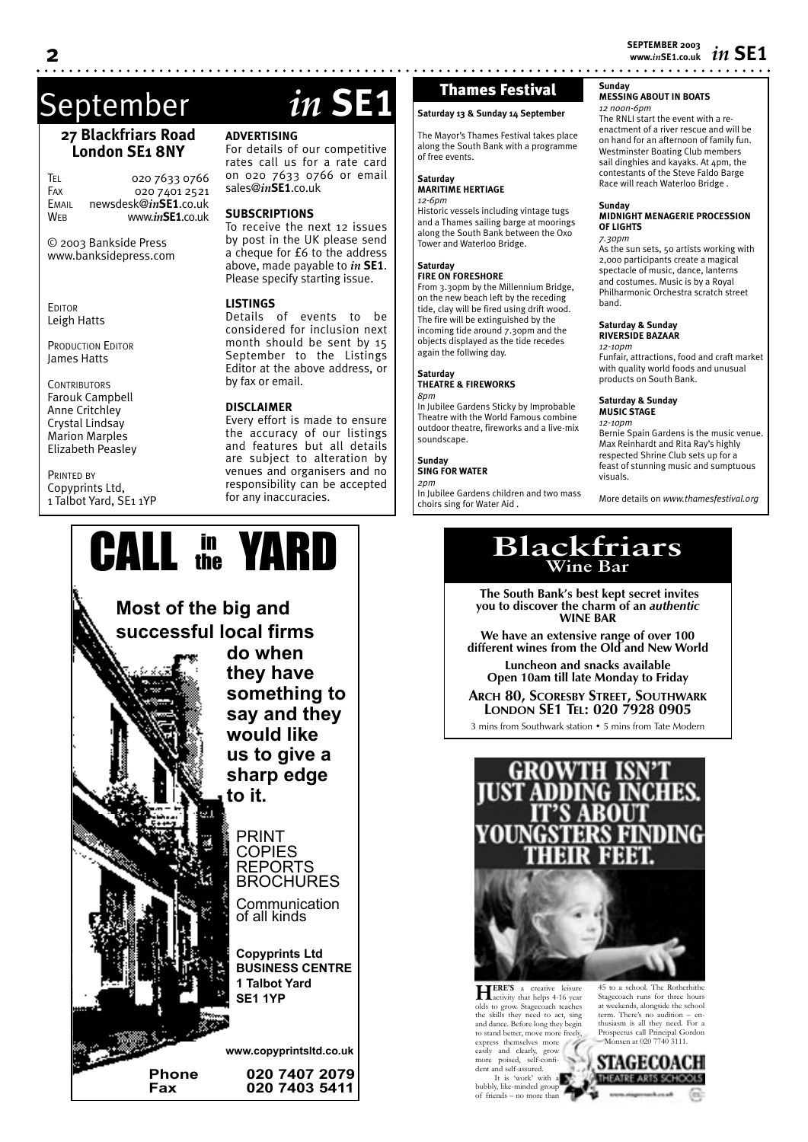# September *in* **SE1**

# **27 Blackfriars Road London SE1 8NY**

TEL 020 7633 0766<br>Fax 020 7401 2521 020 7401 2521 EMAIL newsdesk@*in***SE1**.co.uk WEB www.*in***SE1**.co.uk

© 2003 Bankside Press www.banksidepress.com

**EDITOR** Leigh Hatts

PRODUCTION EDITOR James Hatts

**CONTRIBUTORS** Farouk Campbell Anne Critchley Crystal Lindsay Marion Marples Elizabeth Peasley

PRINTED BY Copyprints Ltd, 1 Talbot Yard, SE1 1YP

**ADVERTISING**

For details of our competitive rates call us for a rate card on 020 7633 0766 or email sales@*in***SE1**.co.uk

# **SUBSCRIPTIONS**

To receive the next 12 issues by post in the UK please send a cheque for £6 to the address above, made payable to *in* **SE1**. Please specify starting issue.

# **LISTINGS**

Details of events to be considered for inclusion next month should be sent by 15 September to the Listings Editor at the above address, or by fax or email.

## **DISCLAIMER**

Every effort is made to ensure the accuracy of our listings and features but all details are subject to alteration by venues and organisers and no responsibility can be accepted for any inaccuracies.



# Thames Festival

**Saturday 13 & Sunday 14 September**

The Mayor's Thames Festival takes place along the South Bank with a programme of free events.

### **Saturday MARITIME HERTIAGE** *12-6pm*

Historic vessels including vintage tugs and a Thames sailing barge at moorings along the South Bank between the Oxo Tower and Waterloo Bridge.

### **Saturday FIRE ON FORESHORE**

From 3.30pm by the Millennium Bridge, on the new beach left by the receding tide, clay will be fired using drift wood. The fire will be extinguished by the incoming tide around 7.30pm and the objects displayed as the tide recedes again the follwing day.

# **Saturday**

**THEATRE & FIREWORKS** *8pm* In Jubilee Gardens Sticky by Improbable

Theatre with the World Famous combine outdoor theatre, fireworks and a live-mix soundscape.

### **Sunday SING FOR WATER**

*2pm*

In Jubilee Gardens children and two mass choirs sing for Water Aid .

**Sunday MESSING ABOUT IN BOATS**

# *12 noon-6pm*

The RNLI start the event with a reenactment of a river rescue and will be on hand for an afternoon of family fun. Westminster Boating Club members sail dinghies and kayaks. At 4pm, the contestants of the Steve Faldo Barge Race will reach Waterloo Bridge .

### **Sunday**

## **MIDNIGHT MENAGERIE PROCESSION OF LIGHTS**

*7.30pm* As the sun sets, 50 artists working with 2,000 participants create a magical spectacle of music, dance, lanterns and costumes. Music is by a Royal Philharmonic Orchestra scratch street band.

### **Saturday & Sunday RIVERSIDE BAZAAR**

*12-10pm* Funfair, attractions, food and craft market with quality world foods and unusual products on South Bank.

### **Saturday & Sunday MUSIC STAGE**

*12-10pm* Bernie Spain Gardens is the music venue. Max Reinhardt and Rita Ray's highly respected Shrine Club sets up for a feast of stunning music and sumptuous visuals.

More details on *www.thamesfestival.org*

 **The South Bank's best kept secret invites you to discover the charm of an** *authentic* **WINE BAR**

**We have an extensive range of over 100 different wines from the Old and New World**

**Luncheon and snacks available Open 10am till late Monday to Friday**

**ARCH 80, SCORESBY STREET, SOUTHWARK LONDON SE1 TEL: 020 7928 0905**

3 mins from Southwark station • 5 mins from Tate Modern





**HERE'S** a creative leisure olds to grow. Stagecoach teaches the skills they need to act, sing and dance. Before long they begin to stand better, move more freely, express themselves more easily and clearly, grow more poised, self-confi-dent and self-assured. It is 'work' with a bubbly, like-minded group of friends – no more than

45 to a school. The Rotherhith Stagecoach runs for three hours at weekends, alongside the school term. There's no audition – enthusiasm is all they need. For a Prospectus call Principal Gordon<br>- Monsen at 020 7740 3111 msen at 020 7740 3111.

STAGECOACH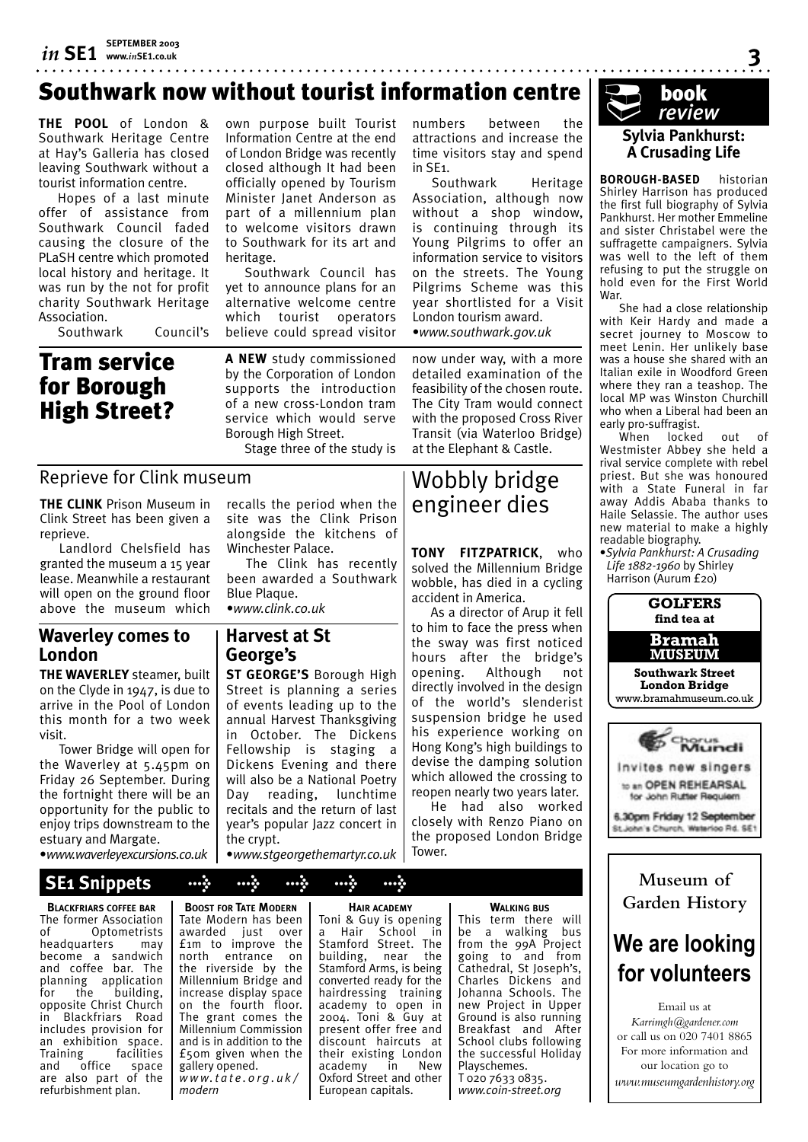# Southwark now without tourist information centre

**THE POOL** of London & Southwark Heritage Centre at Hay's Galleria has closed leaving Southwark without a tourist information centre.

Hopes of a last minute offer of assistance from Southwark Council faded causing the closure of the PLaSH centre which promoted local history and heritage. It was run by the not for profit charity Southwark Heritage Association.

Southwark Council's

Tram service for Borough High Street? own purpose built Tourist Information Centre at the end of London Bridge was recently closed although It had been officially opened by Tourism Minister Janet Anderson as part of a millennium plan to welcome visitors drawn to Southwark for its art and heritage.

Southwark Council has yet to announce plans for an alternative welcome centre which tourist operators believe could spread visitor

**A NEW** study commissioned by the Corporation of London supports the introduction of a new cross-London tram service which would serve Borough High Street.

Stage three of the study is

# Reprieve for Clink museum

**THE CLINK** Prison Museum in Clink Street has been given a reprieve.

Landlord Chelsfield has granted the museum a 15 year lease. Meanwhile a restaurant will open on the ground floor above the museum which

# **Waverley comes to London**

**THE WAVERLEY** steamer, built on the Clyde in 1947, is due to arrive in the Pool of London this month for a two week visit.

Tower Bridge will open for the Waverley at 5.45pm on Friday 26 September. During the fortnight there will be an opportunity for the public to enjoy trips downstream to the estuary and Margate.

•*www.waverleyexcursions.co.uk*

# **SE1 Snippets > > > > >**

**BLACKFRIARS COFFEE BAR** The former Association of Optometrists<br>headquarters may headquarters become a sandwich and coffee bar. The planning application for the building, opposite Christ Church in Blackfriars Road includes provision for an exhibition space. Training facilities<br>and office space and office space are also part of the refurbishment plan.

**BOOST FOR TATE MODERN** Tate Modern has been awarded iust over £1m to improve the north entrance on the riverside by the Millennium Bridge and increase display space on the fourth floor. The grant comes the Millennium Commission and is in addition to the £50m given when the gallery opened. *w w w. t a t e . o r g . u k / modern*

recalls the period when the site was the Clink Prison alongside the kitchens of Winchester Palace.

The Clink has recently been awarded a Southwark Blue Plaque. •*www.clink.co.uk*

# **Harvest at St George's**

**ST GEORGE'S** Borough High Street is planning a series of events leading up to the annual Harvest Thanksgiving in October. The Dickens Fellowship is staging a Dickens Evening and there will also be a National Poetry Day reading, lunchtime recitals and the return of last year's popular Jazz concert in the crypt.

•*www.stgeorgethemartyr.co.uk*

numbers between the attractions and increase the time visitors stay and spend in SE1.

Southwark Heritage Association, although now without a shop window, is continuing through its Young Pilgrims to offer an information service to visitors on the streets. The Young Pilgrims Scheme was this year shortlisted for a Visit London tourism award. •*www.southwark.gov.uk*

now under way, with a more detailed examination of the feasibility of the chosen route. The City Tram would connect with the proposed Cross River Transit (via Waterloo Bridge) at the Elephant & Castle.

# Wobbly bridge engineer dies

**TONY FITZPATRICK**, who solved the Millennium Bridge wobble, has died in a cycling accident in America.

As a director of Arup it fell to him to face the press when the sway was first noticed hours after the bridge's opening. Although not directly involved in the design of the world's slenderist suspension bridge he used his experience working on Hong Kong's high buildings to devise the damping solution which allowed the crossing to reopen nearly two years later.

He had also worked closely with Renzo Piano on the proposed London Bridge Tower.



**3**

**BOROUGH-BASED** historian Shirley Harrison has produced the first full biography of Sylvia Pankhurst. Her mother Emmeline and sister Christabel were the suffragette campaigners. Sylvia was well to the left of them refusing to put the struggle on hold even for the First World War.

She had a close relationship with Keir Hardy and made a secret journey to Moscow to meet Lenin. Her unlikely base was a house she shared with an Italian exile in Woodford Green where they ran a teashop. The local MP was Winston Churchill who when a Liberal had been an early pro-suffragist.

When locked out of Westmister Abbey she held a rival service complete with rebel priest. But she was honoured with a State Funeral in far away Addis Ababa thanks to Haile Selassie. The author uses new material to make a highly readable biography.

•*Sylvia Pankhurst: A Crusading Life 1882-1960* by Shirley Harrison (Aurum £20)



to an OPEN REHEARSAL for John Rutter Requiem

6.30pm Friday 12 September St.John's Church, Waterloo Rd. SE1

# **Museum of Garden History**

# **We are looking for volunteers**

Email us at *Karrimgh@gardener.com* or call us on 020 7401 8865 For more information and our location go to *www.museumgardenhistory.org*

**HAIR ACADEMY**

Toni & Guy is opening a Hair School in Stamford Street. The building, near the Stamford Arms, is being converted ready for the hairdressing training academy to open in 2004. Toni & Guy at present offer free and discount haircuts at their existing London<br>academy in New academy Oxford Street and other European capitals.

**WALKING BUS**

This term there will be a walking bus from the 99A Project going to and from Cathedral, St Joseph's, Charles Dickens and Johanna Schools. The new Project in Upper Ground is also running Breakfast and After School clubs following the successful Holiday Playschemes. T 020 7633 0835. *www.coin-street.org*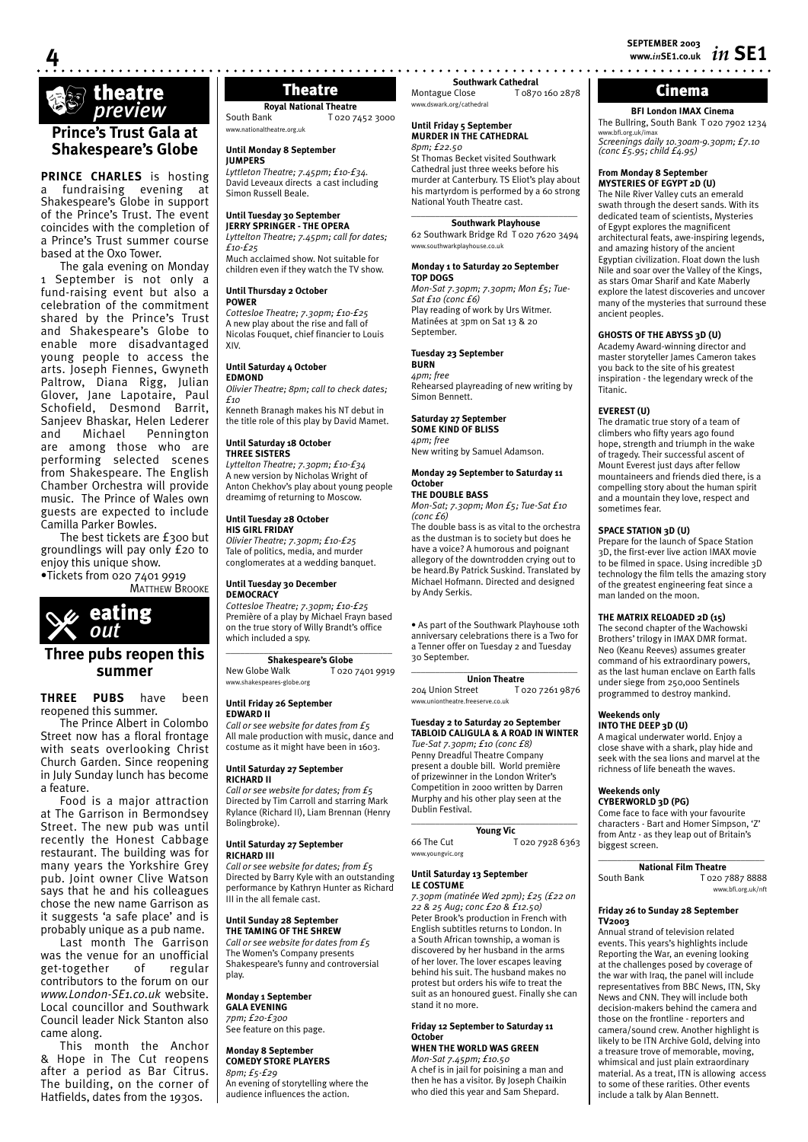*in* **SE1 SEPTEMBER 2003 www.***in***SE1.co.uk**

# Theatre Montague Close T0870 160 2878

**BFI London IMAX Cinema** The Bullring, South Bank T 020 7902 1234 www.bfi.org.uk/imax *Screenings daily 10.30am-9.30pm; £7.10 (conc £5.95; child £4.95)*

# **From Monday 8 September**

**MYSTERIES OF EGYPT 2D (U)** The Nile River Valley cuts an emerald swath through the desert sands. With its dedicated team of scientists, Mysteries of Egypt explores the magnificent architectural feats, awe-inspiring legends, and amazing history of the ancient Egyptian civilization. Float down the lush Nile and soar over the Valley of the Kings, as stars Omar Sharif and Kate Maberly explore the latest discoveries and uncover many of the mysteries that surround these ancient peoples.

# **GHOSTS OF THE ABYSS 3D (U)**

Academy Award-winning director and master storyteller James Cameron takes you back to the site of his greatest inspiration - the legendary wreck of the Titanic.

# **EVEREST (U)**

The dramatic true story of a team of climbers who fifty years ago found hope, strength and triumph in the wake of tragedy. Their successful ascent of Mount Everest just days after fellow mountaineers and friends died there, is a compelling story about the human spirit and a mountain they love, respect and sometimes fear.

# **SPACE STATION 3D (U)**

Prepare for the launch of Space Station 3D, the first-ever live action IMAX movie to be filmed in space. Using incredible 3D technology the film tells the amazing story of the greatest engineering feat since a man landed on the moon.

# **THE MATRIX RELOADED 2D (15)**

The second chapter of the Wachowski Brothers' trilogy in IMAX DMR format. Neo (Keanu Reeves) assumes greater command of his extraordinary powers, as the last human enclave on Earth falls under siege from 250,000 Sentinels programmed to destroy mankind.

### **Weekends only INTO THE DEEP 3D (U)**

A magical underwater world. Enjoy a close shave with a shark, play hide and seek with the sea lions and marvel at the richness of life beneath the waves.

# **Weekends only**

**CYBERWORLD 3D (PG)** Come face to face with your favourite characters - Bart and Homer Simpson, 'Z' from Antz - as they leap out of Britain's biggest screen.

 $\_$ **National Film Theatre**<br> **South Bank T** 020 7 T 020 7887 8888 www.bfi.org.uk/nft

## **Friday 26 to Sunday 28 September TV2003**

Annual strand of television related events. This years's highlights include Reporting the War, an evening looking at the challenges posed by coverage of the war with Iraq, the panel will include representatives from BBC News, ITN, Sky News and CNN. They will include both decision-makers behind the camera and those on the frontline - reporters and camera/sound crew. Another highlight is likely to be ITN Archive Gold, delving into a treasure trove of memorable, moving, whimsical and just plain extraordinary material. As a treat, ITN is allowing access to some of these rarities. Other events include a talk by Alan Bennett.

**Royal National Theatre**<br>**Royal National To<sub>20 7</sub>** T 020 7452 3000 www.nationaltheatre.org.uk

### **Until Monday 8 September JUMPERS**

*Lyttleton Theatre; 7.45pm; £10-£34.* David Leveaux directs a cast including Simon Russell Beale.

### **Until Tuesday 30 September**

**JERRY SPRINGER - THE OPERA** *Lyttelton Theatre; 7.45pm; call for dates; £10-£25*

Much acclaimed show. Not suitable for children even if they watch the TV show.

### **Until Thursday 2 October POWER**

*Cottesloe Theatre; 7.30pm; £10-£25* A new play about the rise and fall of Nicolas Fouquet, chief financier to Louis XIV.

### **Until Saturday 4 October**

**EDMOND** *Olivier Theatre; 8pm; call to check dates; £10*

Kenneth Branagh makes his NT debut in the title role of this play by David Mamet.

### **Until Saturday 18 October THREE SISTERS**

*Lyttelton Theatre; 7.30pm; £10-£34* A new version by Nicholas Wright of Anton Chekhov's play about young people dreamimg of returning to Moscow.

### **Until Tuesday 28 October HIS GIRL FRIDAY**

*Olivier Theatre; 7.30pm; £10-£25* Tale of politics, media, and murder conglomerates at a wedding banquet.

# **Until Tuesday 30 December**

*Cottesloe Theatre; 7.30pm; £10-£25* Première of a play by Michael Frayn based on the true story of Willy Brandt's office

# **Shakespeare's Globe**

www.shakespeares-globe.org

### **Until Friday 26 September EDWARD II**

*Call or see website for dates from £5* All male production with music, dance and costume as it might have been in 1603.

### **Until Saturday 27 September RICHARD II**

*Call or see website for dates; from £5* Directed by Tim Carroll and starring Mark Rylance (Richard II), Liam Brennan (Henry Bolingbroke).

### **Until Saturday 27 September RICHARD III**

*Call or see website for dates; from £5* Directed by Barry Kyle with an outstanding performance by Kathryn Hunter as Richard III in the all female cast.

### **Until Sunday 28 September THE TAMING OF THE SHREW**

*Call or see website for dates from £5* The Women's Company presents Shakespeare's funny and controversial play.

### **Monday 1 September**

**GALA EVENING** *7pm; £20-£300*

See feature on this page.

### **Monday 8 September COMEDY STORE PLAYERS**

*8pm; £5-£29* An evening of storytelling where the audience influences the action.

**summer**

**THREE PUBS** have been reopened this summer.

The Prince Albert in Colombo Street now has a floral frontage with seats overlooking Christ Church Garden. Since reopening in July Sunday lunch has become a feature.

Food is a major attraction at The Garrison in Bermondsey Street. The new pub was until recently the Honest Cabbage restaurant. The building was for many years the Yorkshire Grey pub. Joint owner Clive Watson says that he and his colleagues chose the new name Garrison as it suggests 'a safe place' and is probably unique as a pub name.

Last month The Garrison was the venue for an unofficial<br>get-together of regular get-together contributors to the forum on our *www.London-SE1.co.uk* website. Local councillor and Southwark Council leader Nick Stanton also came along.

This month the Anchor & Hope in The Cut reopens after a period as Bar Citrus. The building, on the corner of Hatfields, dates from the 1930s.

# Competition in 2000 written by Darren Murphy and his other play seen at the  $\_$

**Young Vic**<br>66 The Cut T 020 7928 6363 www.youngvic.org

### **Until Saturday 13 September LE COSTUME**

*7.30pm (matinée Wed 2pm); £25 (£22 on 22 & 25 Aug; conc £20 & £12.50)*  Peter Brook's production in French with English subtitles returns to London. In a South African township, a woman is discovered by her husband in the arms of her lover. The lover escapes leaving behind his suit. The husband makes no protest but orders his wife to treat the suit as an honoured guest. Finally she can stand it no more.

### **Friday 12 September to Saturday 11 October WHEN THE WORLD WAS GREEN**

*Mon-Sat 7.45pm; £10.50*

A chef is in jail for poisining a man and then he has a visitor. By Joseph Chaikin who died this year and Sam Shepard.

**theatre** 

# **Prince's Trust Gala at Shakespeare's Globe**

a fundraising evening at Shakespeare's Globe in support of the Prince's Trust. The event coincides with the completion of a Prince's Trust summer course based at the Oxo Tower.

The gala evening on Monday September is not only a fund-raising event but also a celebration of the commitment shared by the Prince's Trust and Shakespeare's Globe to enable more disadvantaged young people to access the arts. Joseph Fiennes, Gwyneth Paltrow, Diana Rigg, Julian Glover, Jane Lapotaire, Paul Schofield, Desmond Barrit, Sanjeev Bhaskar, Helen Lederer and Michael Pennington are among those who are performing selected scenes from Shakespeare. The English Chamber Orchestra will provide music. The Prince of Wales own guests are expected to include Camilla Parker Bowles.

The best tickets are £300 but groundlings will pay only £20 to enjoy this unique show.



**4**

**PRINCE CHARLES** is hosting

**MATTHEW BROOKE** 

# **Three pubs reopen this**

•Tickets from 020 7401 9919

# \_\_\_\_\_\_\_\_\_\_\_\_\_\_\_\_\_\_\_\_\_\_\_\_\_\_\_\_\_\_\_\_\_\_\_

by Andy Serkis.

# **DEMOCRACY**

which included a spy.

New Globe Walk T 020 7401 9919

### **THE DOUBLE BASS** *Mon-Sat; 7.30pm; Mon £5; Tue-Sat £10 (conc £6)* The double bass is as vital to the orchestra

as the dustman is to society but does he have a voice? A humorous and poignant allegory of the downtrodden crying out to be heard.By Patrick Suskind. Translated by Michael Hofmann. Directed and designed

**Southwark Cathedral**<br>Montague Close **T** 0870

St Thomas Becket visited Southwark Cathedral just three weeks before his murder at Canterbury. TS Eliot's play about his martyrdom is performed by a 60 strong

 $\_$ **Southwark Playhouse** 62 Southwark Bridge Rd T 020 7620 3494

**Monday 1 to Saturday 20 September**

Play reading of work by Urs Witmer. Matinées at 3pm on Sat 13 & 20

*Mon-Sat 7.30pm; 7.30pm; Mon £5; Tue-*

Rehearsed playreading of new writing by

National Youth Theatre cast.

www.southwarkplayhouse.co.uk

www.dswark.org/cathedral **Until Friday 5 September MURDER IN THE CATHEDRAL**

*8pm; £22.50*

**TOP DOGS**

September.

Simon Bennett.

*4pm; free*

**October**

**BURN** *4pm; free*

*Sat £10 (conc £6)*

**Tuesday 23 September** 

**Saturday 27 September SOME KIND OF BLISS**

New writing by Samuel Adamson. **Monday 29 September to Saturday 11** 

T 0870 160 2878

• As part of the Southwark Playhouse 10th anniversary celebrations there is a Two for a Tenner offer on Tuesday 2 and Tuesday 30 September.

# $\_$

**Union Theatre**<br>204 Union Street To T 020 7261 9876 www.uniontheatre.freeserve.co.uk

*Tue-Sat 7.30pm; £10 (conc £8)* Penny Dreadful Theatre Company present a double bill. World première of prizewinner in the London Writer's

Dublin Festival.

**Tuesday 2 to Saturday 20 September TABLOID CALIGULA & A ROAD IN WINTER**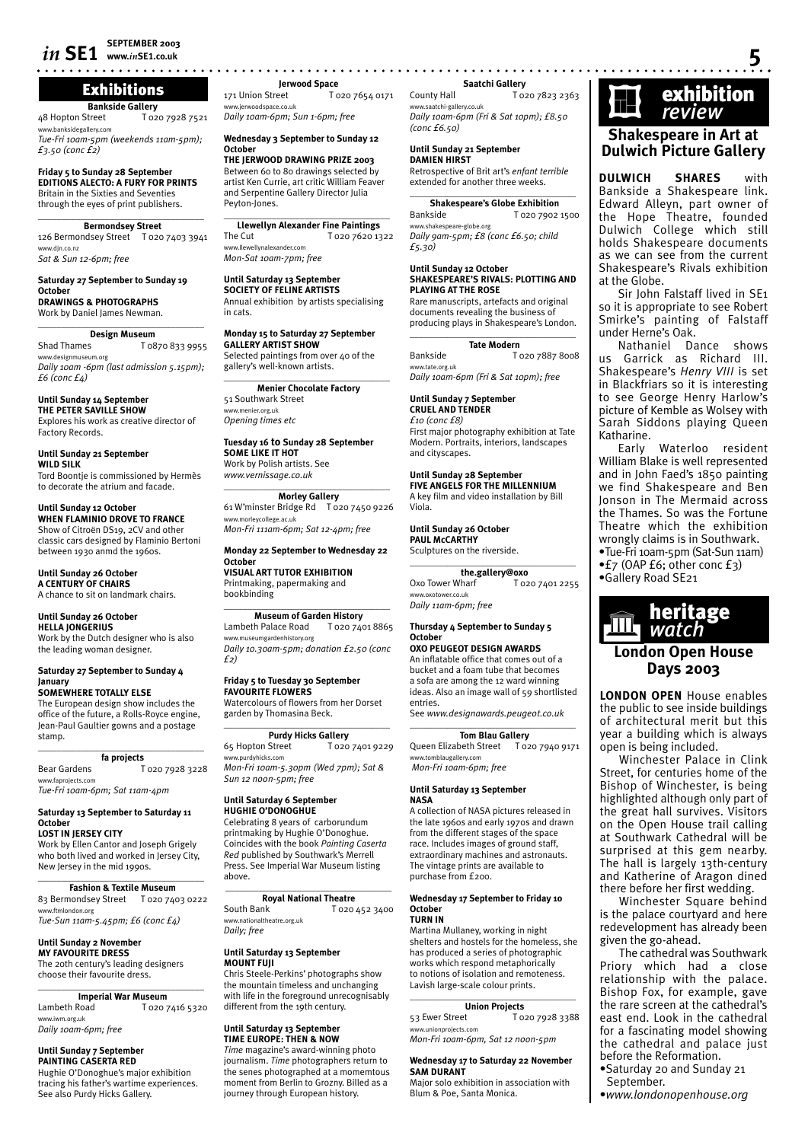# *in* **SE1 SEPTEMBER 2003**

# Exhibitions

**Bankside Gallery**<br>48 Hopton Street To<sub>2</sub> T 020 7928 7521 idegallery.cor

*Tue-Fri 10am-5pm (weekends 11am-5pm); £3.50 (conc £2)*

**Friday 5 to Sunday 28 September EDITIONS ALECTO: A FURY FOR PRINTS** Britain in the Sixties and Seventies through the eyes of print publishers.

 $\overline{\phantom{a}}$  , and the set of the set of the set of the set of the set of the set of the set of the set of the set of the set of the set of the set of the set of the set of the set of the set of the set of the set of the s **Bermondsey Street** 126 Bermondsey Street T 020 7403 3941 www.djn.co.nz *Sat & Sun 12-6pm; free*

### **Saturday 27 September to Sunday 19 October**

**DRAWINGS & PHOTOGRAPHS** Work by Daniel James Newman.

**Design Museum**<br>Shad Thames To T 0870 833 9955 w.designmuseum.org *Daily 10am -6pm (last admission 5.15pm); £6 (conc £4)*

 $\overline{\phantom{a}}$  , and the set of the set of the set of the set of the set of the set of the set of the set of the set of the set of the set of the set of the set of the set of the set of the set of the set of the set of the s

**Until Sunday 14 September THE PETER SAVILLE SHOW**

Explores his work as creative director of Factory Records.

**Until Sunday 21 September WILD SILK** Tord Boontje is commissioned by Hermès to decorate the atrium and facade.

### **Until Sunday 12 October**

**WHEN FLAMINIO DROVE TO FRANCE** Show of Citroën DS19, 2CV and other classic cars designed by Flaminio Bertoni between 1930 anmd the 1960s.

# **Until Sunday 26 October A CENTURY OF CHAIRS** A chance to sit on landmark chairs.

### **Until Sunday 26 October HELLA JONGERIUS**

Work by the Dutch designer who is also the leading woman designer.

### **Saturday 27 September to Sunday 4 January SOMEWHERE TOTALLY ELSE**

The European design show includes the office of the future, a Rolls-Royce engine, Jean-Paul Gaultier gowns and a postage stamp.

### \_\_\_\_\_\_\_\_\_\_\_\_\_\_\_\_\_\_\_\_\_\_\_\_\_\_\_\_\_\_\_\_\_\_\_ **fa projects**

Bear Gardens T 020 7928 3228 www.faprojects.com *Tue-Fri 10am-6pm; Sat 11am-4pm*

## **Saturday 13 September to Saturday 11 October**

**LOST IN JERSEY CITY** Work by Ellen Cantor and Joseph Grigely

who both lived and worked in Jersey City, New Jersey in the mid 1990s. \_\_\_\_\_\_\_\_\_\_\_\_\_\_\_\_\_\_\_\_\_\_\_\_\_\_\_\_\_\_\_\_\_\_\_

**Fashion & Textile Museum** 83 Bermondsey Street T 020 7403 0222 www.ftmlondon.org *Tue-Sun 11am-5.45pm; £6 (conc £4)*

# **Until Sunday 2 November**

**MY FAVOURITE DRESS** The 20th century's leading designers choose their favourite dress.

 $\overline{\phantom{a}}$  , and the set of the set of the set of the set of the set of the set of the set of the set of the set of the set of the set of the set of the set of the set of the set of the set of the set of the set of the s **Imperial War Museum**<br>**I** dambeth Road **I** D20 T 020 7416 5320 www.iwm.org.uk *Daily 10am-6pm; free* 

**Until Sunday 7 September PAINTING CASERTA RED**

Hughie O'Donoghue's major exhibition tracing his father's wartime experiences. See also Purdy Hicks Gallery.

**www.***in***SE1.co.uk 5 Jerwood Space**<br>171 Union Street To T 020 7654 0171 w.jerwoodspace.co.uk

*Daily 10am-6pm; Sun 1-6pm; free*

### **Wednesday 3 September to Sunday 12 October**

**THE JERWOOD DRAWING PRIZE 2003** Between 60 to 80 drawings selected by artist Ken Currie, art critic William Feaver and Serpentine Gallery Director Julia Peyton-Jones.

 $\overline{\phantom{a}}$  , and the set of the set of the set of the set of the set of the set of the set of the set of the set of the set of the set of the set of the set of the set of the set of the set of the set of the set of the s **Llewellyn Alexander Fine Paintings**<br>The Cut T020 7620 13 T 020 7620 1322 www.llewellynalexander.com *Mon-Sat 10am-7pm; free*

### **Until Saturday 13 September SOCIETY OF FELINE ARTISTS**

Annual exhibition by artists specialising in cats.

**Monday 15 to Saturday 27 September GALLERY ARTIST SHOW** Selected paintings from over 40 of the gallery's well-known artists.

\_\_\_\_\_\_\_\_\_\_\_\_\_\_\_\_\_\_\_\_\_\_\_\_\_\_\_\_\_\_\_\_\_\_\_ **Menier Chocolate Factory** 51 Southwark Street .<br>ww.menier.org.uk *Opening times etc*

### **Tuesday 16 to Sunday 28 September SOME LIKE IT HOT**

Work by Polish artists. See *www.vernissage.co.uk*  $\_$ 

**Morley Gallery** 61 W'minster Bridge Rd T 020 7450 9226 www.morleycollege.ac.uk

*Mon-Fri 111am-6pm; Sat 12-4pm; free*

### **Monday 22 September to Wednesday 22 October VISUAL ART TUTOR EXHIBITION**

Printmaking, papermaking and bookbinding  $\_$ 

### **Museum of Garden History** Lambeth Palace Road T 020 7401 8865 www.museumgardenhistory.org *Daily 10.30am-5pm; donation £2.50 (conc £2)*

## **Friday 5 to Tuesday 30 September FAVOURITE FLOWERS**

Watercolours of flowers from her Dorset garden by Thomasina Beck.  $\overline{\phantom{a}}$  , and the set of the set of the set of the set of the set of the set of the set of the set of the set of the set of the set of the set of the set of the set of the set of the set of the set of the set of the s

**Purdy Hicks Gallery** 65 Hopton Street T 020 7401 9229 www.purdyhicks.com

*Mon-Fri 10am-5.30pm (Wed 7pm); Sat & Sun 12 noon-5pm; free*

# **Until Saturday 6 September HUGHIE O'DONOGHUE**

Celebrating 8 years of carborundum printmaking by Hughie O'Donoghue. Coincides with the book *Painting Caserta Red* published by Southwark's Merrell Press. See Imperial War Museum listing above.

# \_\_\_\_\_\_\_\_\_\_\_\_\_\_\_\_\_\_\_\_\_\_\_\_\_\_\_\_\_\_\_\_\_\_\_ **Royal National Theatre**<br>South Bank To20

T 020 452 3400 w.nationaltheatre.org.uk *Daily; free*

### **Until Saturday 13 September MOUNT FUJI**

Chris Steele-Perkins' photographs show the mountain timeless and unchanging with life in the foreground unrecognisably different from the 19th century.

### **Until Saturday 13 September TIME EUROPE: THEN & NOW**

*Time* magazine's award-winning photo journalism. *Time* photographers return to the senes photographed at a momemtous moment from Berlin to Grozny. Billed as a journey through European history.

# **Saatchi Gallery**

County Hall T 020 7823 2363 www.saatchi-gallery.co.uk *Daily 10am-6pm (Fri & Sat 10pm); £8.50 (conc £6.50)*

### **Until Sunday 21 September DAMIEN HIRST**

Retrospective of Brit art's *enfant terrible* extended for another three weeks.

### $\_$ **Shakespeare's Globe Exhibition**

Bankside T 020 7902 1500 www.shakespeare-globe.org *Daily 9am-5pm; £8 (conc £6.50; child £5.30)*

### **Until Sunday 12 October SHAKESPEARE'S RIVALS: PLOTTING AND PLAYING AT THE ROSE**

Rare manuscripts, artefacts and original documents revealing the business of producing plays in Shakespeare's London.  $\overline{\phantom{a}}$  , and the set of the set of the set of the set of the set of the set of the set of the set of the set of the set of the set of the set of the set of the set of the set of the set of the set of the set of the s

# **Tate Modern**

Bankside T 020 7887 8008 www.tate.org.uk *Daily 10am-6pm (Fri & Sat 10pm); free*

### **Until Sunday 7 September CRUEL AND TENDER** *£10 (conc £8)*

First major photography exhibition at Tate Modern. Portraits, interiors, landscapes and cityscapes.

## **Until Sunday 28 September FIVE ANGELS FOR THE MILLENNIUM**

A key film and video installation by Bill Viola.

### **Until Sunday 26 October PAUL McCARTHY** Sculptures on the riverside.

 $\overline{\phantom{a}}$  , and the set of the set of the set of the set of the set of the set of the set of the set of the set of the set of the set of the set of the set of the set of the set of the set of the set of the set of the s **the.gallery@oxo**<br>/harf T020 7401 2255 Oxo Tower Wharf www.oxotower.co.uk *Daily 11am-6pm; free*

### **Thursday 4 September to Sunday 5 October OXO PEUGEOT DESIGN AWARDS**

An inflatable office that comes out of a bucket and a foam tube that becomes a sofa are among the 12 ward winning ideas. Also an image wall of 59 shortlisted entries.

See *www.designawards.peugeot.co.uk*  $\overline{\phantom{a}}$  , and the set of the set of the set of the set of the set of the set of the set of the set of the set of the set of the set of the set of the set of the set of the set of the set of the set of the set of the s

**Tom Blau Gallery**<br> **The Street** T 020 7940 9171 Queen Elizabeth Street .tomblaugallery.com  *Mon-Fri 10am-6pm; free*

### **Until Saturday 13 September NASA**

A collection of NASA pictures released in the late 1960s and early 1970s and drawn from the different stages of the space race. Includes images of ground staff, extraordinary machines and astronauts. The vintage prints are available to purchase from £200.

### **Wednesday 17 September to Friday 10 October TURN IN**

Martina Mullaney, working in night shelters and hostels for the homeless, she has produced a series of photographic works which respond metaphorically to notions of isolation and remoteness. Lavish large-scale colour prints.

# $\_$

**Union Projects**<br>To T T 020 7928 3388 www.unionprojects.com *Mon-Fri 10am-6pm, Sat 12 noon-5pm*

### **Wednesday 17 to Saturday 22 November SAM DURANT**

Major solo exhibition in association with Blum & Poe, Santa Monica.



# **Shakespeare in Art at Dulwich Picture Gallery**

**DULWICH SHARES** with Bankside a Shakespeare link. Edward Alleyn, part owner of the Hope Theatre, founded Dulwich College which still holds Shakespeare documents as we can see from the current Shakespeare's Rivals exhibition at the Globe.

Sir John Falstaff lived in SE1 so it is appropriate to see Robert Smirke's painting of Falstaff under Herne's Oak.

Nathaniel Dance shows us Garrick as Richard III. Shakespeare's *Henry VIII* is set in Blackfriars so it is interesting to see George Henry Harlow's picture of Kemble as Wolsey with Sarah Siddons playing Queen Katharine.

Early Waterloo resident William Blake is well represented and in John Faed's 1850 painting we find Shakespeare and Ben Jonson in The Mermaid across the Thames. So was the Fortune Theatre which the exhibition wrongly claims is in Southwark.

- •Tue-Fri 10am-5pm (Sat-Sun 11am) •£7 (OAP £6; other conc £3)
- •Gallery Road SE21



# **Days 2003**

**LONDON OPEN** House enables the public to see inside buildings of architectural merit but this year a building which is always open is being included. Winchester Palace in Clink

Street, for centuries home of the Bishop of Winchester, is being highlighted although only part of the great hall survives. Visitors on the Open House trail calling at Southwark Cathedral will be surprised at this gem nearby. The hall is largely 13th-century and Katherine of Aragon dined there before her first wedding. Winchester Square behind is the palace courtyard and here redevelopment has already been

given the go-ahead.

before the Reformation. •Saturday 20 and Sunday 21

•*www.londonopenhouse.org*

September.

The cathedral was Southwark Priory which had a close relationship with the palace. Bishop Fox, for example, gave the rare screen at the cathedral's east end. Look in the cathedral for a fascinating model showing the cathedral and palace just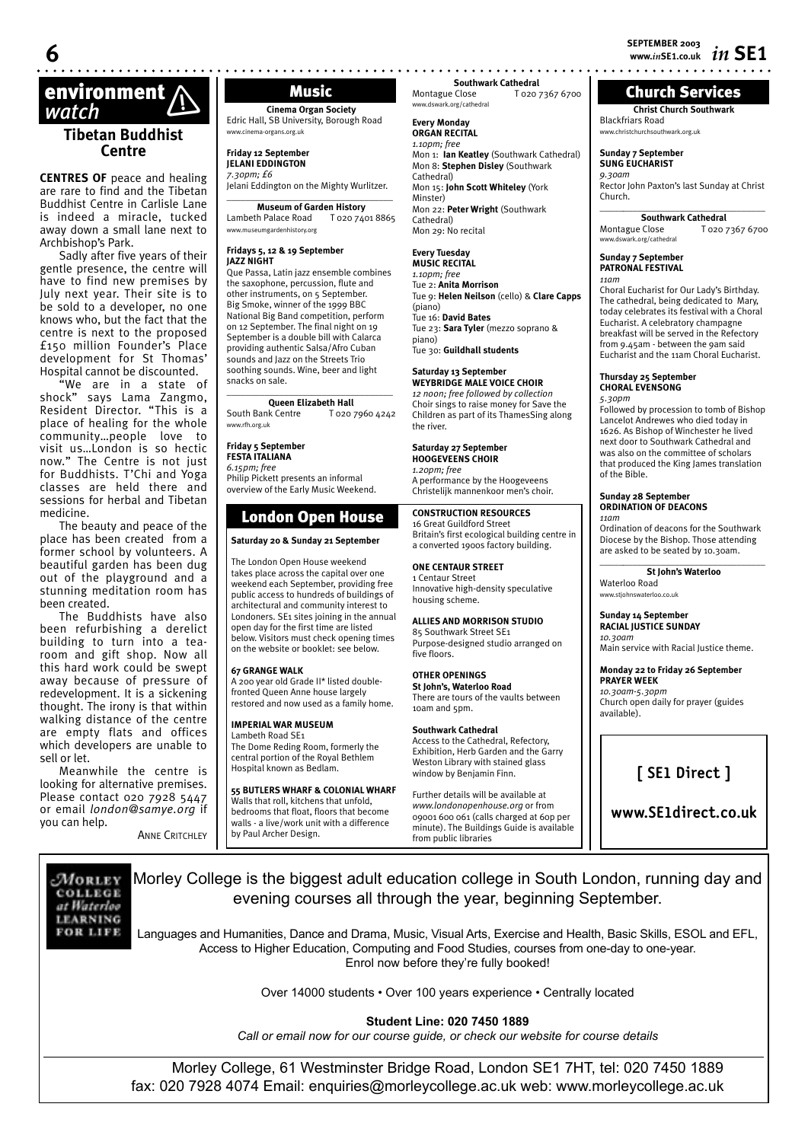**Christ Church Southwark**

Church Services

Rector John Paxton's last Sunday at Christ

\_\_\_\_\_*\_\_\_\_\_\_\_\_\_\_\_\_\_\_\_\_\_\_\_\_\_\_\_\_\_\_\_\_\_\_* **Southwark Cathedral**<br>Close **To2073676700** 

Choral Eucharist for Our Lady's Birthday. The cathedral, being dedicated to Mary, today celebrates its festival with a Choral Eucharist. A celebratory champagne breakfast will be served in the Refectory from 9.45am - between the 9am said Eucharist and the 11am Choral Eucharist.

Blackfriars Road www.christchurchsouthwark.org.uk **Sunday 7 September SUNG EUCHARIST** *9.30am*

Montague Close www.dswark.org/cathedral **Sunday 7 September PATRONAL FESTIVAL**

Church.

*11am*

# **environment**<br> *Watch* **Music** *Watch* **(***Cinema Organ S**Cinema Organ S**Cinema Organ S**Cinema Organ S*

# **Tibetan Buddhist Centre**

**CENTRES OF** peace and healing are rare to find and the Tibetan Buddhist Centre in Carlisle Lane is indeed a miracle, tucked away down a small lane next to Archbishop's Park.

Sadly after five years of their gentle presence, the centre will have to find new premises by July next year. Their site is to be sold to a developer, no one knows who, but the fact that the centre is next to the proposed £150 million Founder's Place development for St Thomas' Hospital cannot be discounted.

"We are in a state of shock" says Lama Zangmo, Resident Director. "This is a place of healing for the whole community…people love to visit us…London is so hectic now." The Centre is not just for Buddhists. T'Chi and Yoga classes are held there and sessions for herbal and Tibetan medicine.

The beauty and peace of the place has been created from a former school by volunteers. A beautiful garden has been dug out of the playground and a stunning meditation room has been created.

The Buddhists have also been refurbishing a derelict building to turn into a tearoom and gift shop. Now all this hard work could be swept away because of pressure of redevelopment. It is a sickening thought. The irony is that within walking distance of the centre are empty flats and offices which developers are unable to sell or let.

Meanwhile the centre is looking for alternative premises. Please contact 020 7928 5447 or email *london@samye.org* if you can help.

ANNE CRITCHLEY

**Cinema Organ Society** Edric Hall, SB University, Borough Road www.cinema-organs.org.uk

**Friday 12 September JELANI EDDINGTON** *7.30pm; £6*

Jelani Eddington on the Mighty Wurlitzer.  $\_$ 

### **Museum of Garden History** Lambeth Palace Road T 020 7401 8865 www.museumgardenhistory.org

### **Fridays 5, 12 & 19 September JAZZ NIGHT**

Que Passa, Latin jazz ensemble combines the saxophone, percussion, flute and other instruments, on 5 September. Big Smoke, winner of the 1999 BBC National Big Band competition, perform on 12 September. The final night on 19 September is a double bill with Calarca providing authentic Salsa/Afro Cuban sounds and Jazz on the Streets Trio soothing sounds. Wine, beer and light snacks on sale.

 $\_$ **Queen Elizabeth Hall**<br> **South Bank Centre T** 020 T 020 7960 4242 www.rfh.org.uk

**Friday 5 September FESTA ITALIANA**

*6.15pm; free* Philip Pickett presents an informal

overview of the Early Music Weekend.

# London Open House

**Saturday 20 & Sunday 21 September**

The London Open House weekend takes place across the capital over one weekend each September, providing free public access to hundreds of buildings of architectural and community interest to Londoners. SE1 sites joining in the annual open day for the first time are listed below. Visitors must check opening times on the website or booklet: see below.

### **67 GRANGE WALK**

A 200 year old Grade II\* listed doublefronted Queen Anne house largely restored and now used as a family home.

# **IMPERIAL WAR MUSEUM**

Lambeth Road SE1 The Dome Reding Room, formerly the central portion of the Royal Bethlem Hospital known as Bedlam.

# **55 BUTLERS WHARF & COLONIAL WHARF**

Walls that roll, kitchens that unfold bedrooms that float, floors that become walls - a live/work unit with a difference by Paul Archer Design.

**Southwark Cathedral**<br>Montague Close T 020 7 T 020 7367 6700 www.dswark.org/cathedral

### **Every Monday ORGAN RECITAL**

*1.10pm; free* Mon 1: **Ian Keatley** (Southwark Cathedral) Mon 8: **Stephen Disley** (Southwark Cathedral) Mon 15: **John Scott Whiteley** (York Minster) Mon 22: **Peter Wright** (Southwark Cathedral) Mon 29: No recital

# **Every Tuesday**

**MUSIC RECITAL** *1.10pm; free* Tue 2: **Anita Morrison**  Tue 9: **Helen Neilson** (cello) & **Clare Capps**  (piano) Tue 16: **David Bates**  Tue 23: **Sara Tyler** (mezzo soprano & piano) Tue 30: **Guildhall students**

# **Saturday 13 September**

**WEYBRIDGE MALE VOICE CHOIR** *12 noon; free followed by collection* Choir sings to raise money for Save the Children as part of its ThamesSing along the river.

# **Saturday 27 September**

**HOOGEVEENS CHOIR** *1.20pm; free* A performance by the Hoogeveens Christelijk mannenkoor men's choir.

## **CONSTRUCTION RESOURCES**

16 Great Guildford Street Britain's first ecological building centre in a converted 1900s factory building.

### **ONE CENTAUR STREET** 1 Centaur Street

Innovative high-density speculative housing scheme.

# **ALLIES AND MORRISON STUDIO**

85 Southwark Street SE1 Purpose-designed studio arranged on five floors.

### **OTHER OPENINGS St John's, Waterloo Road** There are tours of the vaults between 10am and 5pm.

**Southwark Cathedral**  Access to the Cathedral, Refectory, Exhibition, Herb Garden and the Garry Weston Library with stained glass window by Benjamin Finn.

Further details will be available at *www.londonopenhouse.org* or from 09001 600 061 (calls charged at 60p per minute). The Buildings Guide is available from public libraries

# **Thursday 25 September CHORAL EVENSONG** *5.30pm* Followed by procession to tomb of Bishop

Lancelot Andrewes who died today in 1626. As Bishop of Winchester he lived next door to Southwark Cathedral and was also on the committee of scholars that produced the King James translation of the Bible.

### **Sunday 28 September ORDINATION OF DEACONS**

*11am* Ordination of deacons for the Southwark Diocese by the Bishop. Those attending are asked to be seated by 10.30am. \_\_\_\_\_*\_\_\_\_\_\_\_\_\_\_\_\_\_\_\_\_\_\_\_\_\_\_\_\_\_\_\_\_\_\_*

**St John's Waterloo** Waterloo Road www.stjohnswaterloo.co.uk

### **Sunday 14 September RACIAL JUSTICE SUNDAY** *10.30am*

Main service with Racial Justice theme.

### **Monday 22 to Friday 26 September PRAYER WEEK** *10.30am-5.30pm* Church open daily for prayer (guides available).

# **[ SE1 Direct ]**

**www.SE1direct.co.uk**

MORLEY COLLEGE at Waterloo **LEARNING** FOR LIFE

Morley College is the biggest adult education college in South London, running day and evening courses all through the year, beginning September.

Languages and Humanities, Dance and Drama, Music, Visual Arts, Exercise and Health, Basic Skills, ESOL and EFL, Access to Higher Education, Computing and Food Studies, courses from one-day to one-year. Enrol now before they're fully booked!

Over 14000 students • Over 100 years experience • Centrally located

**Student Line: 020 7450 1889**

*Call or email now for our course guide, or check our website for course details*

Morley College, 61 Westminster Bridge Road, London SE1 7HT, tel: 020 7450 1889 fax: 020 7928 4074 Email: enquiries@morleycollege.ac.uk web: www.morleycollege.ac.uk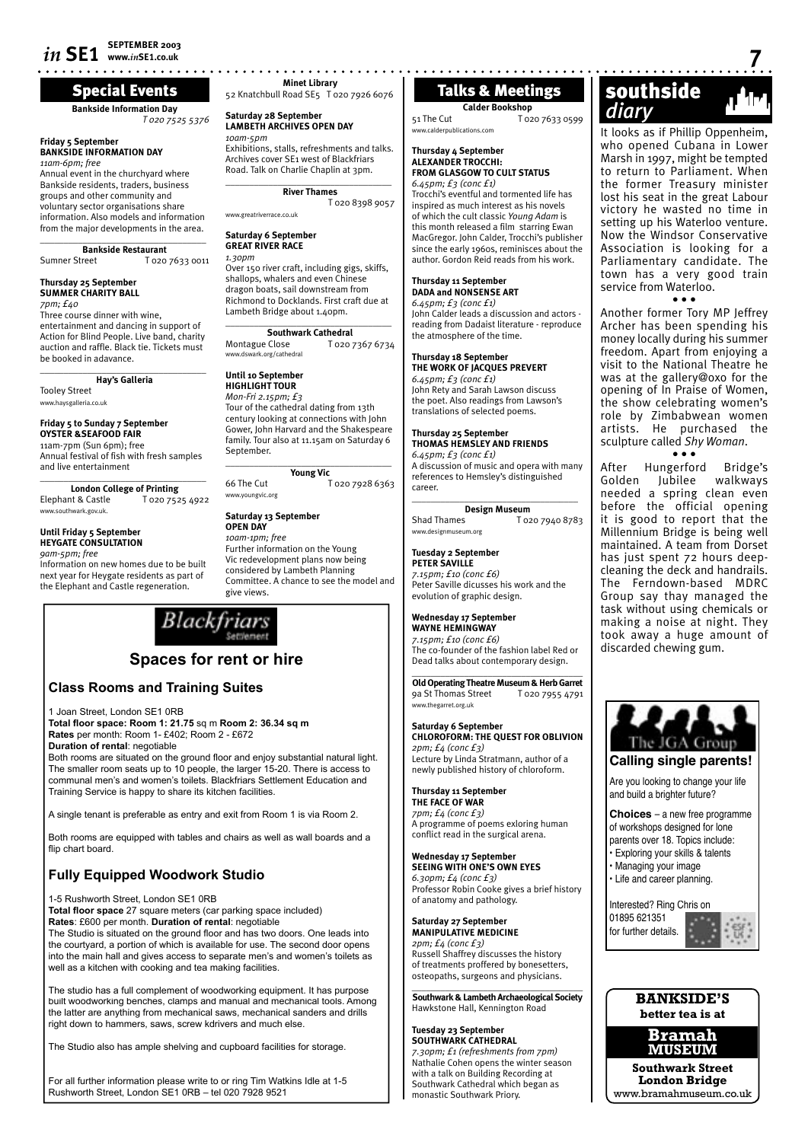# Special Events

**Bankside Information Day**

# **Friday 5 September BANKSIDE INFORMATION DAY**

*11am-6pm; free* Annual event in the churchyard where Bankside residents, traders, business groups and other community and voluntary sector organisations share information. Also models and information from the major developments in the area.

 $\_$ **Bankside Restaurant** Sumner Street T 020 7633 0011

### **Thursday 25 September SUMMER CHARITY BALL**

*7pm; £40*

Three course dinner with wine, entertainment and dancing in support of Action for Blind People. Live band, charity auction and raffle. Black tie. Tickets must be booked in adavance.  $\_$ 

**Hay's Galleria** Tooley Street www.haysgalleria.co.uk

### **Friday 5 to Sunday 7 September OYSTER &SEAFOOD FAIR**

11am-7pm (Sun 6pm); free Annual festival of fish with fresh samples and live entertainment

 $\overline{\phantom{a}}$  , and the set of the set of the set of the set of the set of the set of the set of the set of the set of the set of the set of the set of the set of the set of the set of the set of the set of the set of the s **London College of Printing** Elephant & Castle www.southwark.gov.uk.

### **Until Friday 5 September HEYGATE CONSULTATION**

*9am-5pm; free*

Information on new homes due to be built next year for Heygate residents as part of the Elephant and Castle regeneration.



# **Class Rooms and Training Suites**

1 Joan Street, London SE1 0RB

**Total fl oor space: Room 1: 21.75** sq m **Room 2: 36.34 sq m Rates** per month: Room 1- £402; Room 2 - £672 **Duration of rental**: negotiable

Both rooms are situated on the ground floor and enjoy substantial natural light. The smaller room seats up to 10 people, the larger 15-20. There is access to communal men's and women's toilets. Blackfriars Settlement Education and Training Service is happy to share its kitchen facilities.

A single tenant is preferable as entry and exit from Room 1 is via Room 2.

Both rooms are equipped with tables and chairs as well as wall boards and a flip chart board.

# **Fully Equipped Woodwork Studio**

well as a kitchen with cooking and tea making facilities.

1-5 Rushworth Street, London SE1 0RB

Total floor space 27 square meters (car parking space included) **Rates**: £600 per month. **Duration of rental**: negotiable The Studio is situated on the ground floor and has two doors. One leads into the courtyard, a portion of which is available for use. The second door opens into the main hall and gives access to separate men's and women's toilets as

The studio has a full complement of woodworking equipment. It has purpose built woodworking benches, clamps and manual and mechanical tools. Among the latter are anything from mechanical saws, mechanical sanders and drills right down to hammers, saws, screw kdrivers and much else.

The Studio also has ample shelving and cupboard facilities for storage.

For all further information please write to or ring Tim Watkins Idle at 1-5 Rushworth Street, London SE1 0RB – tel 020 7928 9521

**Minet Library** 52 Knatchbull Road SE5 T 020 7926 6076

### **Saturday 28 September LAMBETH ARCHIVES OPEN DAY** *10am-5pm*

Exhibitions, stalls, refreshments and talks. Archives cover SE1 west of Blackfriars Road. Talk on Charlie Chaplin at 3pm.

\_\_\_\_\_\_\_\_\_\_\_\_\_\_\_\_\_\_\_\_\_\_\_\_\_\_\_\_\_\_\_\_\_\_\_ **River Thames**

T 020 8398 9057 www.greatriverrace.co.uk

# **Saturday 6 September**

**GREAT RIVER RACE** *1.30pm*

**Until 10 September HIGHLIGHT TOUR** *Mon-Fri 2.15pm; £3*

Over 150 river craft, including gigs, skiffs, shallops, whalers and even Chinese dragon boats, sail downstream from Richmond to Docklands. First craft due at Lambeth Bridge about 1.40pm.

 $\overline{\phantom{a}}$  , and the set of the set of the set of the set of the set of the set of the set of the set of the set of the set of the set of the set of the set of the set of the set of the set of the set of the set of the s **Southwark Cathedral**<br>**Montague Close T** 020.7 T 020 7367 6734 www.dswark.org/cathedral

Tour of the cathedral dating from 13th century looking at connections with John

### **Thursday 18 September THE WORK OF JACQUES PREVERT**

*6.45pm; £3 (conc £1)* John Rety and Sarah Lawson discuss the poet. Also readings from Lawson's translations of selected poems.

John Calder leads a discussion and actors reading from Dadaist literature - reproduce

**Calder Bookshop** 51 The Cut T 020 7633 0599

Talks & Meetings

Trocchi's eventful and tormented life has inspired as much interest as his novels of which the cult classic *Young Adam* is this month released a film starring Ewan MacGregor. John Calder, Trocchi's publisher since the early 1960s, reminisces about the author. Gordon Reid reads from his work.

www.calderpublications.com **Thursday 4 September ALEXANDER TROCCHI: FROM GLASGOW TO CULT STATUS**

*6.45pm; £3 (conc £1)*

**Thursday 11 September DADA and NONSENSE ART** *6.45pm; £3 (conc £1)*

the atmosphere of the time.

### **Thursday 25 September THOMAS HEMSLEY AND FRIENDS**

*6.45pm; £3 (conc £1)* A discussion of music and opera with many references to Hemsley's distinguished career.

 $\_$ **Design Museum**<br>Shad Thames To<sub>2</sub> T 020 7940 8783 www.designmuseum.org

**Tuesday 2 September PETER SAVILLE** *7.15pm; £10 (conc £6)* Peter Saville dicusses his work and the evolution of graphic design.

**Wednesday 17 September WAYNE HEMINGWAY** *7.15pm; £10 (conc £6)*

The co-founder of the fashion label Red or Dead talks about contemporary design.  $\overline{\phantom{a}}$  , and the set of the set of the set of the set of the set of the set of the set of the set of the set of the set of the set of the set of the set of the set of the set of the set of the set of the set of the s

**Old Operating Theatre Museum & Herb Garret** 9a St Thomas Street T 020 7955 4791 www.thegarret.org.uk

**Saturday 6 September CHLOROFORM: THE QUEST FOR OBLIVION** *2pm; £4 (conc £3)* Lecture by Linda Stratmann, author of a newly published history of chloroform.

**Thursday 11 September THE FACE OF WAR** *7pm; £4 (conc £3)* A programme of poems exloring human conflict read in the surgical arena.

**Wednesday 17 September SEEING WITH ONE'S OWN EYES** *6.30pm; £4 (conc £3)* Professor Robin Cooke gives a brief history of anatomy and pathology.

**Saturday 27 September MANIPULATIVE MEDICINE** *2pm; £4 (conc £3)* Russell Shaffrey discusses the history of treatments proffered by bonesetters, osteopaths, surgeons and physicians.

 $\_$ **Southwark & Lambeth Archaeological Society** Hawkstone Hall, Kennington Road

**Tuesday 23 September SOUTHWARK CATHEDRAL** *7.30pm; £1 (refreshments from 7pm)* Nathalie Cohen opens the winter season with a talk on Building Recording at Southwark Cathedral which began as monastic Southwark Priory.

# southside Winet Library<br> **Talks & Meetings Southside**<br>
Talks & Meetings Southside<br>
Togo 7633 0599<br>
The Cut<br>
Togo 7633 0599<br>
Togo 7633 0599<br>
Togo 7633 0599

It looks as if Phillip Oppenheim, who opened Cubana in Lower Marsh in 1997, might be tempted to return to Parliament. When the former Treasury minister lost his seat in the great Labour victory he wasted no time in setting up his Waterloo venture. Now the Windsor Conservative Association is looking for a Parliamentary candidate. The town has a very good train service from Waterloo. • • •

Another former Tory MP Jeffrey Archer has been spending his money locally during his summer freedom. Apart from enjoying a visit to the National Theatre he was at the gallery@oxo for the opening of In Praise of Women, the show celebrating women's role by Zimbabwean women artists. He purchased the sculpture called *Shy Woman*.

• • • After Hungerford Bridge's<br>Golden lubilee walkways Golden Jubilee needed a spring clean even before the official opening it is good to report that the Millennium Bridge is being well maintained. A team from Dorset has just spent 72 hours deepcleaning the deck and handrails. The Ferndown-based MDRC Group say thay managed the task without using chemicals or making a noise at night. They took away a huge amount of discarded chewing gum.



Are you looking to change your life and build a brighter future?

**Choices** – a new free programme of workshops designed for lone parents over 18. Topics include: • Exploring your skills & talents • Managing your image

• Life and career planning.

Interested? Ring Chris on 01895 621351 for further details.



**Bramah MUSEUM**

**Southwark Street London Bridge** www.bramahmuseum.co.uk

### Gower, John Harvard and the Shakespeare family. Tour also at 11.15am on Saturday 6 September. \_\_\_\_\_\_\_\_\_\_\_\_\_\_\_\_\_\_\_\_\_\_\_\_\_\_\_\_\_\_\_\_\_\_\_ **Young Vic**

66 The Cut T 020 7928 6363 www.youngvic.org

### **Saturday 13 September OPEN DAY**

*10am-1pm; free* Further information on the Young Vic redevelopment plans now being considered by Lambeth Planning Committee. A chance to see the model and give views.